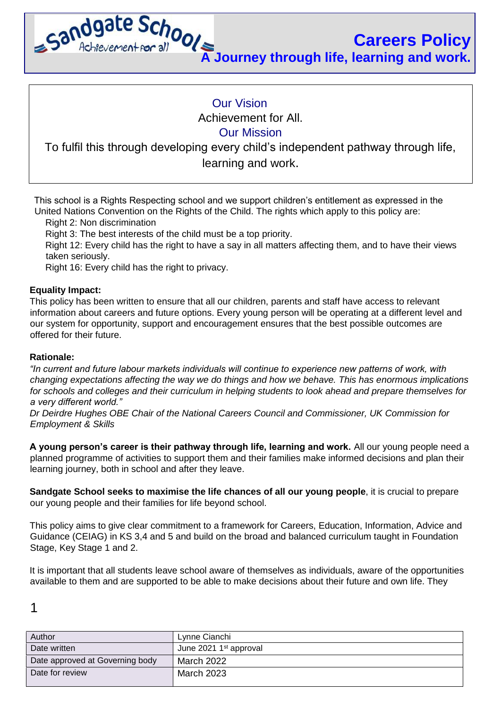

# Ϊ Our Vision Achievement for All. Our Mission To fulfil this through developing every child's independent pathway through life, learning and work.

This school is a Rights Respecting school and we support children's entitlement as expressed in the United Nations Convention on the Rights of the Child. The rights which apply to this policy are:

Right 2: Non discrimination

Right 3: The best interests of the child must be a top priority.

Right 12: Every child has the right to have a say in all matters affecting them, and to have their views taken seriously.

Right 16: Every child has the right to privacy.

## **Equality Impact:**

This policy has been written to ensure that all our children, parents and staff have access to relevant information about careers and future options. Every young person will be operating at a different level and our system for opportunity, support and encouragement ensures that the best possible outcomes are offered for their future.

#### **Rationale:**

*"In current and future labour markets individuals will continue to experience new patterns of work, with changing expectations affecting the way we do things and how we behave. This has enormous implications for schools and colleges and their curriculum in helping students to look ahead and prepare themselves for a very different world."* 

*Dr Deirdre Hughes OBE Chair of the National Careers Council and Commissioner, UK Commission for Employment & Skills* 

**A young person's career is their pathway through life, learning and work.** All our young people need a planned programme of activities to support them and their families make informed decisions and plan their learning journey, both in school and after they leave.

**Sandgate School seeks to maximise the life chances of all our young people**, it is crucial to prepare our young people and their families for life beyond school.

This policy aims to give clear commitment to a framework for Careers, Education, Information, Advice and Guidance (CEIAG) in KS 3,4 and 5 and build on the broad and balanced curriculum taught in Foundation Stage, Key Stage 1 and 2.

It is important that all students leave school aware of themselves as individuals, aware of the opportunities available to them and are supported to be able to make decisions about their future and own life. They

| Author                          | Lynne Cianchi                      |
|---------------------------------|------------------------------------|
| Date written                    | June 2021 1 <sup>st</sup> approval |
| Date approved at Governing body | <b>March 2022</b>                  |
| Date for review                 | March 2023                         |
|                                 |                                    |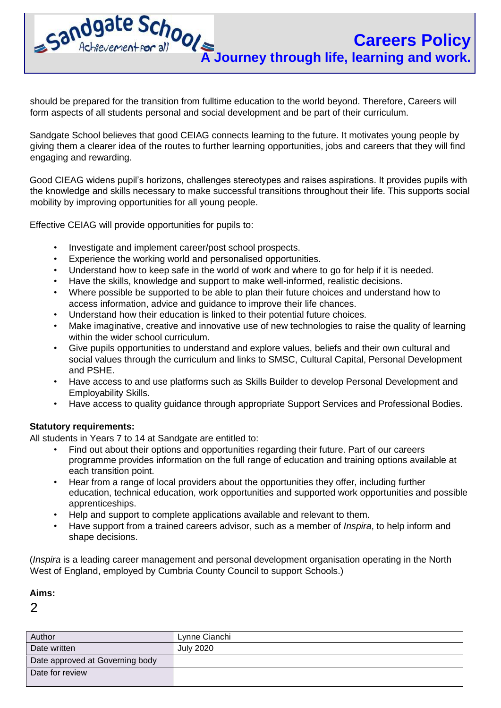should be prepared for the transition from fulltime education to the world beyond. Therefore, Careers will form aspects of all students personal and social development and be part of their curriculum.

Sandgate School believes that good CEIAG connects learning to the future. It motivates young people by giving them a clearer idea of the routes to further learning opportunities, jobs and careers that they will find engaging and rewarding.

Good CIEAG widens pupil's horizons, challenges stereotypes and raises aspirations. It provides pupils with the knowledge and skills necessary to make successful transitions throughout their life. This supports social mobility by improving opportunities for all young people.

Effective CEIAG will provide opportunities for pupils to:

- Investigate and implement career/post school prospects.
- Experience the working world and personalised opportunities.
- Understand how to keep safe in the world of work and where to go for help if it is needed.
- Have the skills, knowledge and support to make well-informed, realistic decisions.
- Where possible be supported to be able to plan their future choices and understand how to access information, advice and guidance to improve their life chances.
- Understand how their education is linked to their potential future choices.
- Make imaginative, creative and innovative use of new technologies to raise the quality of learning within the wider school curriculum.
- Give pupils opportunities to understand and explore values, beliefs and their own cultural and social values through the curriculum and links to SMSC, Cultural Capital, Personal Development and PSHE.
- Have access to and use platforms such as Skills Builder to develop Personal Development and Employability Skills.
- Have access to quality guidance through appropriate Support Services and Professional Bodies.

#### **Statutory requirements:**

All students in Years 7 to 14 at Sandgate are entitled to:

- Find out about their options and opportunities regarding their future. Part of our careers programme provides information on the full range of education and training options available at each transition point.
- Hear from a range of local providers about the opportunities they offer, including further education, technical education, work opportunities and supported work opportunities and possible apprenticeships.
- Help and support to complete applications available and relevant to them.
- Have support from a trained careers advisor, such as a member of *Inspira*, to help inform and shape decisions.

(*Inspira* is a leading career management and personal development organisation operating in the North West of England, employed by Cumbria County Council to support Schools.)

#### **Aims:**

 $\mathfrak{D}$ 

| Author                          | Lynne Cianchi    |
|---------------------------------|------------------|
| Date written                    | <b>July 2020</b> |
| Date approved at Governing body |                  |
| Date for review                 |                  |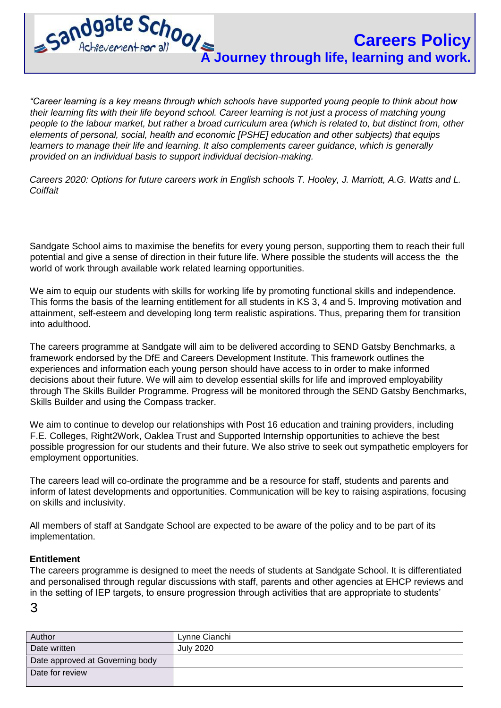

*"Career learning is a key means through which schools have supported young people to think about how their learning fits with their life beyond school. Career learning is not just a process of matching young people to the labour market, but rather a broad curriculum area (which is related to, but distinct from, other elements of personal, social, health and economic [PSHE] education and other subjects) that equips learners to manage their life and learning. It also complements career guidance, which is generally provided on an individual basis to support individual decision-making.* 

*Careers 2020: Options for future careers work in English schools T. Hooley, J. Marriott, A.G. Watts and L. Coiffait* 

Sandgate School aims to maximise the benefits for every young person, supporting them to reach their full potential and give a sense of direction in their future life. Where possible the students will access the the world of work through available work related learning opportunities.

We aim to equip our students with skills for working life by promoting functional skills and independence. This forms the basis of the learning entitlement for all students in KS 3, 4 and 5. Improving motivation and attainment, self-esteem and developing long term realistic aspirations. Thus, preparing them for transition into adulthood.

The careers programme at Sandgate will aim to be delivered according to SEND Gatsby Benchmarks, a framework endorsed by the DfE and Careers Development Institute. This framework outlines the experiences and information each young person should have access to in order to make informed decisions about their future. We will aim to develop essential skills for life and improved employability through The Skills Builder Programme. Progress will be monitored through the SEND Gatsby Benchmarks, Skills Builder and using the Compass tracker.

We aim to continue to develop our relationships with Post 16 education and training providers, including F.E. Colleges, Right2Work, Oaklea Trust and Supported Internship opportunities to achieve the best possible progression for our students and their future. We also strive to seek out sympathetic employers for employment opportunities.

The careers lead will co-ordinate the programme and be a resource for staff, students and parents and inform of latest developments and opportunities. Communication will be key to raising aspirations, focusing on skills and inclusivity.

All members of staff at Sandgate School are expected to be aware of the policy and to be part of its implementation.

#### **Entitlement**

The careers programme is designed to meet the needs of students at Sandgate School. It is differentiated and personalised through regular discussions with staff, parents and other agencies at EHCP reviews and in the setting of IEP targets, to ensure progression through activities that are appropriate to students'

| Author                          | Lynne Cianchi |
|---------------------------------|---------------|
| Date written                    | July 2020     |
| Date approved at Governing body |               |
| Date for review                 |               |
|                                 |               |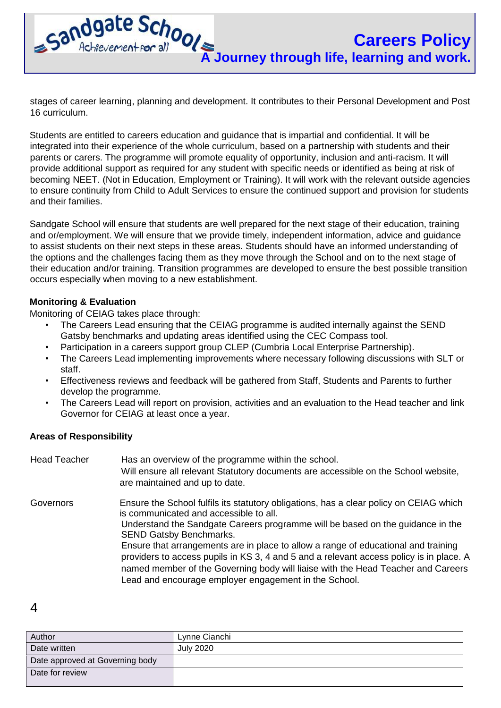stages of career learning, planning and development. It contributes to their Personal Development and Post 16 curriculum.

Students are entitled to careers education and guidance that is impartial and confidential. It will be integrated into their experience of the whole curriculum, based on a partnership with students and their parents or carers. The programme will promote equality of opportunity, inclusion and anti-racism. It will provide additional support as required for any student with specific needs or identified as being at risk of becoming NEET. (Not in Education, Employment or Training). It will work with the relevant outside agencies to ensure continuity from Child to Adult Services to ensure the continued support and provision for students and their families.

Sandgate School will ensure that students are well prepared for the next stage of their education, training and or/employment. We will ensure that we provide timely, independent information, advice and guidance to assist students on their next steps in these areas. Students should have an informed understanding of the options and the challenges facing them as they move through the School and on to the next stage of their education and/or training. Transition programmes are developed to ensure the best possible transition occurs especially when moving to a new establishment.

## **Monitoring & Evaluation**

Monitoring of CEIAG takes place through:

- The Careers Lead ensuring that the CEIAG programme is audited internally against the SEND Gatsby benchmarks and updating areas identified using the CEC Compass tool.
- Participation in a careers support group CLEP (Cumbria Local Enterprise Partnership).
- The Careers Lead implementing improvements where necessary following discussions with SLT or staff.
- Effectiveness reviews and feedback will be gathered from Staff, Students and Parents to further develop the programme.
- The Careers Lead will report on provision, activities and an evaluation to the Head teacher and link Governor for CEIAG at least once a year.

#### **Areas of Responsibility**

| <b>Head Teacher</b> | Has an overview of the programme within the school.<br>Will ensure all relevant Statutory documents are accessible on the School website,<br>are maintained and up to date.                                                                                                                                                                                                                                                                                                                                                                                                        |
|---------------------|------------------------------------------------------------------------------------------------------------------------------------------------------------------------------------------------------------------------------------------------------------------------------------------------------------------------------------------------------------------------------------------------------------------------------------------------------------------------------------------------------------------------------------------------------------------------------------|
| Governors           | Ensure the School fulfils its statutory obligations, has a clear policy on CEIAG which<br>is communicated and accessible to all.<br>Understand the Sandgate Careers programme will be based on the guidance in the<br><b>SEND Gatsby Benchmarks.</b><br>Ensure that arrangements are in place to allow a range of educational and training<br>providers to access pupils in KS 3, 4 and 5 and a relevant access policy is in place. A<br>named member of the Governing body will liaise with the Head Teacher and Careers<br>Lead and encourage employer engagement in the School. |

| Author                          | Lynne Cianchi    |
|---------------------------------|------------------|
| Date written                    | <b>July 2020</b> |
| Date approved at Governing body |                  |
| Date for review                 |                  |
|                                 |                  |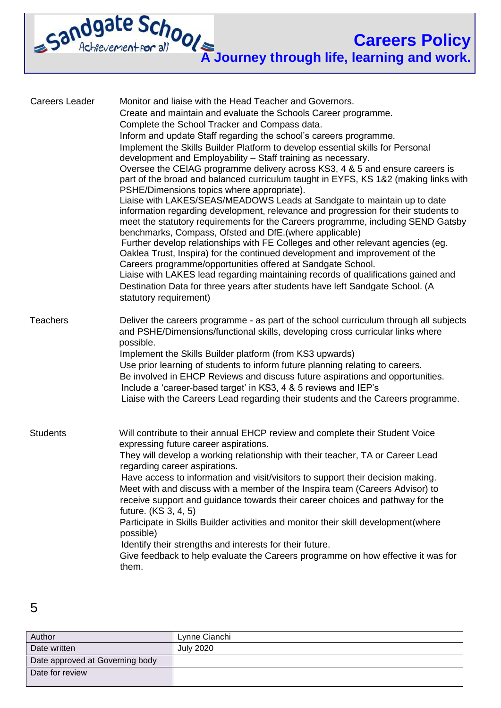**Careers Policy A Journey through life, learning and work.** 

| <b>Careers Leader</b> | Monitor and liaise with the Head Teacher and Governors.<br>Create and maintain and evaluate the Schools Career programme.<br>Complete the School Tracker and Compass data.<br>Inform and update Staff regarding the school's careers programme.<br>Implement the Skills Builder Platform to develop essential skills for Personal<br>development and Employability - Staff training as necessary.<br>Oversee the CEIAG programme delivery across KS3, 4 & 5 and ensure careers is<br>part of the broad and balanced curriculum taught in EYFS, KS 1&2 (making links with<br>PSHE/Dimensions topics where appropriate).<br>Liaise with LAKES/SEAS/MEADOWS Leads at Sandgate to maintain up to date<br>information regarding development, relevance and progression for their students to<br>meet the statutory requirements for the Careers programme, including SEND Gatsby<br>benchmarks, Compass, Ofsted and DfE. (where applicable)<br>Further develop relationships with FE Colleges and other relevant agencies (eg.<br>Oaklea Trust, Inspira) for the continued development and improvement of the<br>Careers programme/opportunities offered at Sandgate School.<br>Liaise with LAKES lead regarding maintaining records of qualifications gained and<br>Destination Data for three years after students have left Sandgate School. (A<br>statutory requirement) |
|-----------------------|-------------------------------------------------------------------------------------------------------------------------------------------------------------------------------------------------------------------------------------------------------------------------------------------------------------------------------------------------------------------------------------------------------------------------------------------------------------------------------------------------------------------------------------------------------------------------------------------------------------------------------------------------------------------------------------------------------------------------------------------------------------------------------------------------------------------------------------------------------------------------------------------------------------------------------------------------------------------------------------------------------------------------------------------------------------------------------------------------------------------------------------------------------------------------------------------------------------------------------------------------------------------------------------------------------------------------------------------------------------------------|
| <b>Teachers</b>       | Deliver the careers programme - as part of the school curriculum through all subjects<br>and PSHE/Dimensions/functional skills, developing cross curricular links where<br>possible.<br>Implement the Skills Builder platform (from KS3 upwards)<br>Use prior learning of students to inform future planning relating to careers.<br>Be involved in EHCP Reviews and discuss future aspirations and opportunities.<br>Include a 'career-based target' in KS3, 4 & 5 reviews and IEP's<br>Liaise with the Careers Lead regarding their students and the Careers programme.                                                                                                                                                                                                                                                                                                                                                                                                                                                                                                                                                                                                                                                                                                                                                                                               |
| <b>Students</b>       | Will contribute to their annual EHCP review and complete their Student Voice<br>expressing future career aspirations.<br>They will develop a working relationship with their teacher, TA or Career Lead<br>regarding career aspirations.<br>Have access to information and visit/visitors to support their decision making.<br>Meet with and discuss with a member of the Inspira team (Careers Advisor) to<br>receive support and guidance towards their career choices and pathway for the<br>future. (KS 3, 4, 5)<br>Participate in Skills Builder activities and monitor their skill development(where<br>possible)<br>Identify their strengths and interests for their future.<br>Give feedback to help evaluate the Careers programme on how effective it was for<br>them.                                                                                                                                                                                                                                                                                                                                                                                                                                                                                                                                                                                        |

| Author                          | Lynne Cianchi    |
|---------------------------------|------------------|
| Date written                    | <b>July 2020</b> |
| Date approved at Governing body |                  |
| Date for review                 |                  |
|                                 |                  |